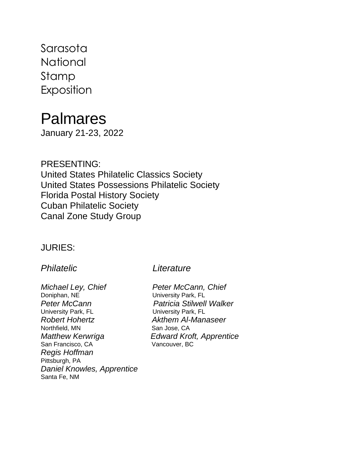Sarasota **National** Stamp Exposition

# Palmares

January 21-23, 2022

PRESENTING: United States Philatelic Classics Society United States Possessions Philatelic Society Florida Postal History Society Cuban Philatelic Society Canal Zone Study Group

### JURIES:

*Michael Ley, Chief Peter McCann, Chief* Doniphan, NE University Park, FL *Peter McCann Patricia Stilwell Walker* University Park, FL University Park, FL *Robert Hohertz Akthem Al-Manaseer* Northfield, MN San Jose, CA *Matthew Kerwriga Edward Kroft, Apprentice* San Francisco, CA Vancouver, BC *Regis Hoffman* Pittsburgh, PA *Daniel Knowles, Apprentice* Santa Fe, NM

#### *Philatelic Literature*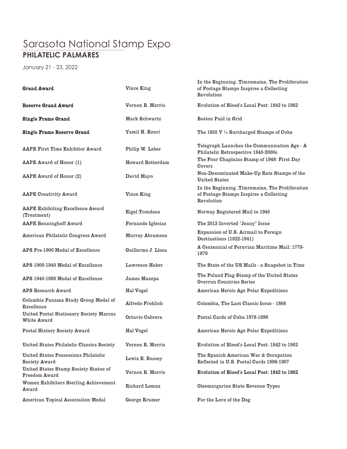## Sarasota National Stamp Expo **PHILATELIC PALMARES**

January 21 - 23, 2022

| <b>Grand Award</b>                                            | Vince King              | In the BeginningTimromaine, The Proliferation<br>of Postage Stamps Inspires a Collecting<br>Revolution |
|---------------------------------------------------------------|-------------------------|--------------------------------------------------------------------------------------------------------|
| <b>Reserve Grand Award</b>                                    | Vernon R. Morris        | Evolution of Blood's Local Post: 1842 to 1862                                                          |
| <b>Single Frame Grand</b>                                     | Mark Schwartz           | <b>Boston Paid in Grid</b>                                                                             |
| <b>Single Frame Reserve Grand</b>                             | Yamil H. Kouri          | The 1855 $Y\frac{1}{4}$ Surcharged Stamps of Cuba                                                      |
| <b>AAPE First Time Exhibitor Award</b>                        | Philip W. Leber         | Telegraph Launches the Communication Age - A<br>Philatelic Retrospective 1840-2000s                    |
| <b>AAPE Award of Honor (1)</b>                                | <b>Howard Rotterdam</b> | The Four Chaplains Stamp of 1948: First Day<br>Covers                                                  |
| <b>AAPE Award of Honor (2)</b>                                | David Mayo              | Non-Denominated Make-Up Rate Stamps of the<br><b>United States</b>                                     |
| <b>AAPE Creativity Award</b>                                  | Vince King              | In the BeginningTimromaine, The Proliferation<br>of Postage Stamps Inspires a Collecting<br>Revolution |
| <b>AAPE Exhibiting Excellence Award</b><br>(Treatment)        | Eigel Trondsen          | Norway Registered Mail to 1945                                                                         |
| <b>AAPE Benninghoff Award</b>                                 | Fernando Iglesias       | The 2013 Inverted "Jenny" Issue                                                                        |
| American Philatelic Congress Award                            | Murray Abramson         | Expansion of U.S. Airmail to Foreign<br>Destinations (1922-1941)                                       |
| APS Pre-1900 Medal of Excellence                              | Guillermo J. Llosa      | A Centennial of Peruvian Maritime Mail: 1779-<br>1879                                                  |
| APS 1900-1940 Medal of Excellence                             | Lawrence Haber          | The State of the US Mails - a Snapshot in Time                                                         |
| APS 1940-1980 Medal of Excellence                             | James Mazepa            | The Poland Flag Stamp of the United States<br><b>Overrun Countries Series</b>                          |
| <b>APS Research Award</b>                                     | Hal Vogel               | <b>American Heroic Age Polar Expeditions</b>                                                           |
| Columbia Panama Study Group Medal of<br><b>Excellence</b>     | Alfredo Frohlich        | Colombia, The Last Classic Issue - 1866                                                                |
| <b>United Postal Stationery Society Marcus</b><br>White Award | Octavio Cabrera         | Postal Cards of Cuba 1878-1898                                                                         |
| Postal History Society Award                                  | Hal Vogel               | <b>American Heroic Age Polar Expeditions</b>                                                           |
| United States Philatelic Classics Society                     | Vernon R. Morris        | Evolution of Blood's Local Post: 1842 to 1862                                                          |
| <b>United States Possessions Philatelic</b><br>Society Award  | Lewis E. Bussey         | The Spanish American War & Occupation<br>Reflected in U.S. Postal Cards 1898-1907                      |
| United States Stamp Society Statue of<br><b>Freedom Award</b> | Vernon R. Morris        | Evolution of Blood's Local Post: 1842 to 1862                                                          |
| Women Exhibitors Sterling Achievement<br>Award                | Richard Lomax           | Oleomargarine State Revenue Types                                                                      |
| <b>American Topical Association Medal</b>                     | George Kramer           | For the Love of the Dog                                                                                |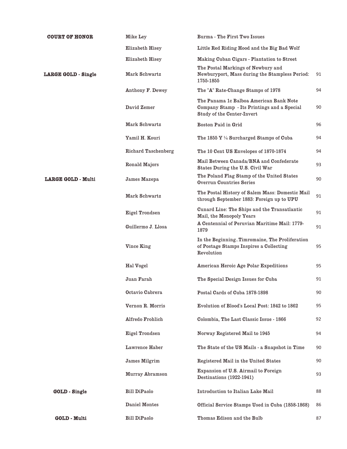| <b>COURT OF HONOR</b>      | Mike Ley                   | <b>Burma</b> - The First Two Issues                                                                                         |    |
|----------------------------|----------------------------|-----------------------------------------------------------------------------------------------------------------------------|----|
|                            | Elizabeth Hisey            | Little Red Riding Hood and the Big Bad Wolf                                                                                 |    |
|                            | Elizabeth Hisey            | Making Cuban Cigars - Plantation to Street                                                                                  |    |
| <b>LARGE GOLD - Single</b> | Mark Schwartz              | The Postal Markings of Newbury and<br>Newburyport, Mass during the Stampless Period:<br>1755-1855                           | 91 |
|                            | Anthony F. Dewey           | The "A" Rate-Change Stamps of 1978                                                                                          | 94 |
|                            | David Zemer                | The Panama 1c Balboa American Bank Note<br>Company Stamp - Its Printings and a Special<br><b>Study of the Center-Invert</b> | 90 |
|                            | Mark Schwartz              | Boston Paid in Grid                                                                                                         | 96 |
|                            | Yamil H. Kouri             | The 1855 $Y \frac{1}{4}$ Surcharged Stamps of Cuba                                                                          | 94 |
|                            | <b>Richard Taschenberg</b> | The 10 Cent US Envelopes of 1870-1874                                                                                       | 94 |
|                            | Ronald Majors              | Mail Between Canada/BNA and Confederate<br>States During the U.S. Civil War                                                 | 93 |
| <b>LARGE GOLD - Multi</b>  | James Mazepa               | The Poland Flag Stamp of the United States<br><b>Overrun Countries Series</b>                                               | 90 |
|                            | Mark Schwartz              | The Postal History of Salem Mass: Domestic Mail<br>through September 1883: Foreign up to UPU                                | 91 |
|                            | Eigel Trondsen             | Cunard Line: The Ships and the Transatlantic<br>Mail, the Monopoly Years                                                    | 91 |
|                            | Guillermo J. Llosa         | A Centennial of Peruvian Maritime Mail: 1779-<br>1879                                                                       | 91 |
|                            | Vince King                 | In the BeginningTimromaine, The Proliferation<br>of Postage Stamps Inspires a Collecting<br>Revolution                      | 95 |
|                            | Hal Vogel                  | <b>American Heroic Age Polar Expeditions</b>                                                                                | 95 |
|                            | Juan Farah                 | The Special Design Issues for Cuba                                                                                          | 91 |
|                            | Octavio Cabrera            | Postal Cards of Cuba 1878-1898                                                                                              | 90 |
|                            | Vernon R. Morris           | Evolution of Blood's Local Post: 1842 to 1862                                                                               | 95 |
|                            | Alfredo Frohlich           | Colombia, The Last Classic Issue - 1866                                                                                     | 92 |
|                            | Eigel Trondsen             | Norway Registered Mail to 1945                                                                                              | 94 |
|                            | Lawrence Haber             | The State of the US Mails - a Snapshot in Time                                                                              | 90 |
|                            | <b>James Milgrim</b>       | Registered Mail in the United States                                                                                        | 90 |
|                            | Murray Abramson            | Expansion of U.S. Airmail to Foreign<br>Destinations (1922-1941)                                                            | 93 |
| <b>GOLD</b> - Single       | <b>Bill DiPaolo</b>        | Introduction to Italian Lake Mail                                                                                           | 88 |
|                            | Daniel Montes              | Official Service Stamps Used in Cuba (1858-1868)                                                                            | 86 |
| <b>GOLD - Multi</b>        | <b>Bill DiPaolo</b>        | Thomas Edison and the Bulb                                                                                                  | 87 |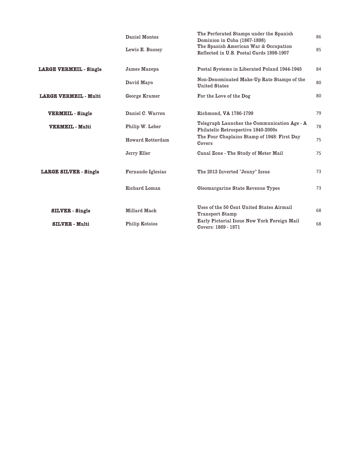|                               | Daniel Montes           | The Perforated Stamps under the Spanish<br>Dominion in Cuba (1867-1898)             | 86 |
|-------------------------------|-------------------------|-------------------------------------------------------------------------------------|----|
|                               | Lewis E. Bussey         | The Spanish American War & Occupation<br>Reflected in U.S. Postal Cards 1898-1907   | 85 |
| <b>LARGE VERMEIL - Single</b> | James Mazepa            | Postal Systems in Liberated Poland 1944-1945                                        | 84 |
|                               | David Mayo              | Non-Denominated Make-Up Rate Stamps of the<br><b>United States</b>                  | 80 |
| <b>LARGE VERMEIL - Multi</b>  | George Kramer           | For the Love of the Dog                                                             | 80 |
| <b>VERMEIL</b> - Single       | Daniel C. Warren        | Richmond, VA 1786-1799                                                              | 79 |
| <b>VERMEIL - Multi</b>        | Philip W. Leber         | Telegraph Launches the Communication Age - A<br>Philatelic Retrospective 1840-2000s | 78 |
|                               | <b>Howard Rotterdam</b> | The Four Chaplains Stamp of 1948: First Day<br>Covers                               | 75 |
|                               | Jerry Eller             | Canal Zone - The Study of Meter Mail                                                | 75 |
| <b>LARGE SILVER - Single</b>  | Fernando Iglesias       | The 2013 Inverted "Jenny" Issue                                                     | 73 |
|                               | Richard Lomax           | Oleomargarine State Revenue Types                                                   | 73 |
|                               |                         | Uses of the 50 Cent United States Airmail                                           |    |
| <b>SILVER</b> - Single        | Millard Mack            | <b>Transport Stamp</b>                                                              | 68 |
| <b>SILVER - Multi</b>         | <b>Philip Kotsios</b>   | Early Pictorial Issue New York Foreign Mail<br>Covers: 1869 - 1871                  | 68 |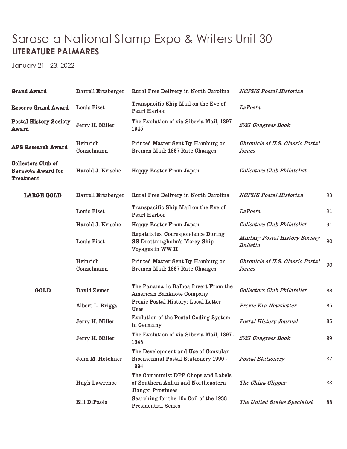# Sarasota National Stamp Expo & Writers Unit 30 **LITERATURE PALMARES**

January 21 - 23, 2022

| <b>Grand Award</b>                                                  | Darrell Ertzberger     | Rural Free Delivery in North Carolina                                                         | <b>NCPHS Postal Historian</b>                             |    |
|---------------------------------------------------------------------|------------------------|-----------------------------------------------------------------------------------------------|-----------------------------------------------------------|----|
| <b>Reserve Grand Award</b>                                          | Louis Fiset            | Transpacific Ship Mail on the Eve of<br><b>Pearl Harbor</b>                                   | <b>LaPosta</b>                                            |    |
| <b>Postal History Society</b><br>Award                              | Jerry H. Miller        | The Evolution of via Siberia Mail, 1897 -<br>1945                                             | 2021 Congress Book                                        |    |
| <b>APS Research Award</b>                                           | Heinrich<br>Conzelmann | Printed Matter Sent By Hamburg or<br>Bremen Mail: 1867 Rate Changes                           | <b>Chronicle of U.S. Classic Postal</b><br><i>Issues</i>  |    |
| <b>Collectors Club of</b><br><b>Sarasota Award for</b><br>Treatment | Harold J. Krische      | Happy Easter From Japan                                                                       | <b>Collectors Club Philatelist</b>                        |    |
| <b>LARGE GOLD</b>                                                   | Darrell Ertzberger     | Rural Free Delivery in North Carolina                                                         | <b>NCPHS Postal Historian</b>                             | 93 |
|                                                                     | Louis Fiset            | Transpacific Ship Mail on the Eve of<br>Pearl Harbor                                          | <b>LaPosta</b>                                            | 91 |
|                                                                     | Harold J. Krische      | Happy Easter From Japan                                                                       | <b>Collectors Club Philatelist</b>                        | 91 |
|                                                                     | Louis Fiset            | Repatriates' Correspondence During<br>SS Drottningholm's Mercy Ship<br>Voyages in WW II       | <b>Military Postal History Society</b><br><b>Bulletin</b> | 90 |
|                                                                     | Heinrich<br>Conzelmann | Printed Matter Sent By Hamburg or<br>Bremen Mail: 1867 Rate Changes                           | <b>Chronicle of U.S. Classic Postal</b><br><i>Issues</i>  | 90 |
| <b>GOLD</b>                                                         | David Zemer            | The Panama 1c Balboa Invert From the<br><b>American Banknote Company</b>                      | <b>Collectors Club Philatelist</b>                        | 88 |
|                                                                     | Albert L. Briggs       | Prexie Postal History: Local Letter<br><b>Uses</b>                                            | Prexie Era Newsletter                                     | 85 |
|                                                                     | Jerry H. Miller        | Evolution of the Postal Coding System<br>in Germany                                           | Postal History Journal                                    | 85 |
|                                                                     | Jerry H. Miller        | The Evolution of via Siberia Mail, 1897 -<br>1945                                             | 2021 Congress Book                                        | 89 |
|                                                                     | John M. Hotchner       | The Development and Use of Consular<br>Bicentennial Postal Stationery 1990 -<br>1994          | <b>Postal Stationery</b>                                  | 87 |
|                                                                     | <b>Hugh Lawrence</b>   | The Communist DPP Chops and Labels<br>of Southern Anhui and Northeastern<br>Jiangxi Provinces | The China Clipper                                         | 88 |
|                                                                     | <b>Bill DiPaolo</b>    | Searching for the 10c Coil of the 1938<br><b>Presidential Series</b>                          | The United States Specialist                              | 88 |